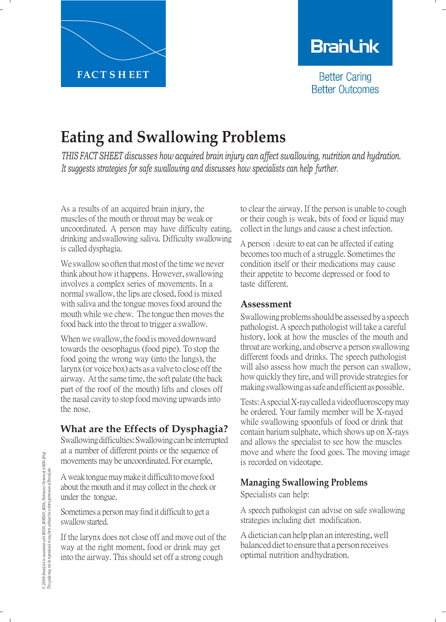

# **BranLink**

**Better Caring Better Outcomes** 

# **Eating and Swallowing Problems**

*THIS FACT SHEET discusses how acquired brain injury can affect swallowing, nutrition and hydration. It suggests strategies for safe swallowing and discusses how specialists can help further.*

As a results of an acquired brain injury, the muscles of the mouth or throat may be weak or uncoordinated. A person may have difficulty eating, drinking andswallowing saliva. Difficulty swallowing is called dysphagia.

We swallow so often that most of the time we never think about howit happens. However,swallowing involves a complex series of movements. In a normalswallow, the lips are closed, food is mixed with saliva and the tongue moves food around the mouth while we chew. The tongue then moves the food back into the throat to trigger a swallow.

When we swallow, the food is moved downward towards the oesophagus (food pipe). To stop the food going the wrong way (into the lungs), the larynx (or voice box) acts as a valve to close offthe airway. At the same time, the soft palate (the back part of the roof of the mouth) lifts and closes off the nasal cavity to stop food moving upwards into the nose.

## **What are the Effects of Dysphagia?**

Swallowingdifficulties:Swallowingcanbeinterrupted at a number of different points or the sequence of movements may be uncoordinated. For example,

A weak tongue may make it difficult to move food about the mouth and it may collect in the cheek or under the tongue.

Sometimes a person may find it difficult to get a swallowstarted.

If the larynx does not close off and move out of the way at the right moment, food or drink may get into the airway. This should set off a strong cough

to clear the airway. If the person is unable to cough or their cough is weak, bits of food or liquid may collect in the lungs and cause a chest infection.

A person'<sup>s</sup> desire to eat can be affected if eating becomes too much of a struggle. Sometimes the condition itself or their medications may cause their appetite to become depressed or food to taste different.

#### **Assessment**

Swallowing problems should be assessed by a speech pathologist.Aspeech pathologistwill take a careful history, look at how the muscles of the mouth and throat areworking, and observe a person swallowing different foods and drinks. The speech pathologist will also assess how much the person can swallow, how quickly they tire, and will provide strategies for makingswallowingassafeandefficientaspossible.

Tests:AspecialX-ray calledavideofluoroscopymay be ordered. Your family member will be X-rayed while swallowing spoonfuls of food or drink that contain barium sulphate, which shows up on X-rays and allows the specialist to see how the muscles move and where the food goes. The moving image is recorded on videotape.

### **Managing Swallowing Problems**

Specialists can help:

A speech pathologist can advise on safe swallowing strategies including diet modification.

Adietician can help plan an interesting,well balanced diet to ensure that a person receives optimal nutrition andhydration.